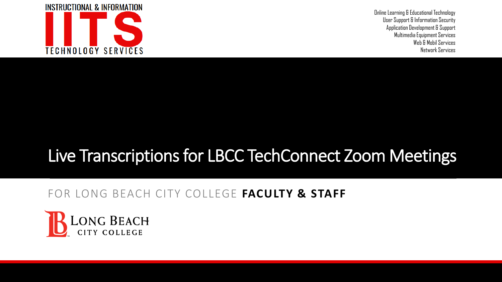

Online Learning & Educational Technology User Support & Information Security Application Development & Support Multimedia Equipment Services Web & Mobil Services Network Services

# Live Transcriptions for LBCC TechConnect Zoom Meetings

#### FOR LONG BEACH CITY COLLEGE **FACULTY & STAFF**

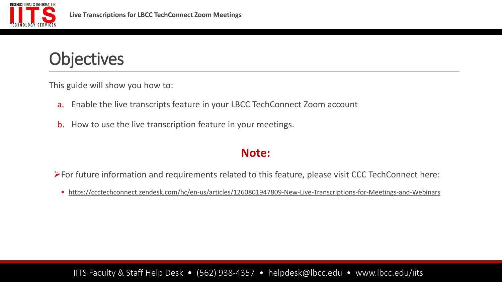

**Objectives** 

This guide will show you how to:

- a. Enable the live transcripts feature in your LBCC TechConnect Zoom account
- b. How to use the live transcription feature in your meetings.

#### **Note:**

➢For future information and requirements related to this feature, please visit CCC TechConnect here:

■ <https://ccctechconnect.zendesk.com/hc/en-us/articles/1260801947809-New-Live-Transcriptions-for-Meetings-and-Webinars>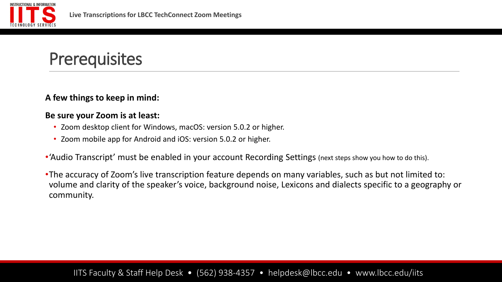

# **Prerequisites**

#### **A few things to keep in mind:**

#### **Be sure your Zoom is at least:**

- Zoom desktop client for Windows, macOS: version 5.0.2 or higher.
- Zoom mobile app for Android and iOS: version 5.0.2 or higher.
- •'Audio Transcript' must be enabled in your account Recording Settings (next steps show you how to do this).
- •The accuracy of Zoom's live transcription feature depends on many variables, such as but not limited to: volume and clarity of the speaker's voice, background noise, Lexicons and dialects specific to a geography or community.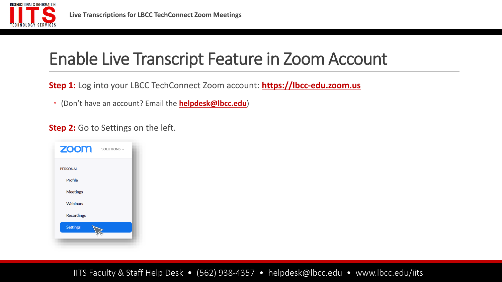

# Enable Live Transcript Feature in Zoom Account

**Step 1:** Log into your LBCC TechConnect Zoom account: **[https://lbcc-edu.zoom.us](https://lbcc-edu.zoom.us/)**

◦ (Don't have an account? Email the **[helpdesk@lbcc.edu](mailto:helpdesk@lbcc.edu)**)

**Step 2:** Go to Settings on the left.

| <b>ZOOM</b>       | SOLUTIONS - |
|-------------------|-------------|
| <b>PERSONAL</b>   |             |
| Profile           |             |
| <b>Meetings</b>   |             |
| <b>Webinars</b>   |             |
| <b>Recordings</b> |             |
| <b>Settings</b>   |             |
|                   |             |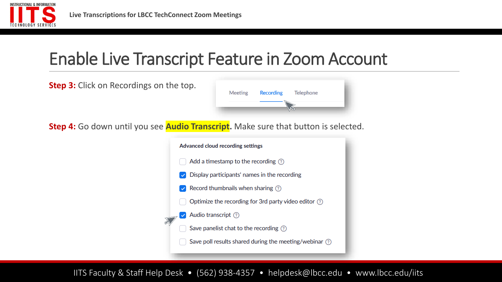

# Enable Live Transcript Feature in Zoom Account

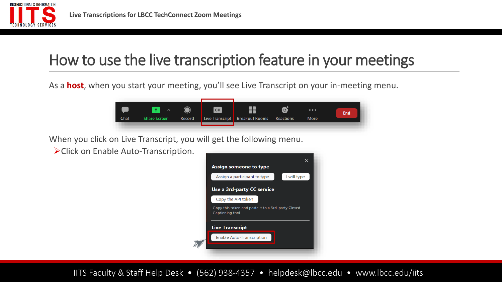

As a **host**, when you start your meeting, you'll see Live Transcript on your in-meeting menu.



When you click on Live Transcript, you will get the following menu.

➢Click on Enable Auto-Transcription.

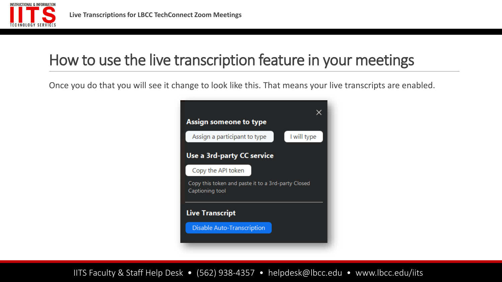

Once you do that you will see it change to look like this. That means your live transcripts are enabled.

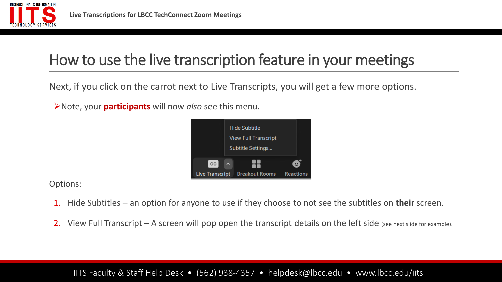

Next, if you click on the carrot next to Live Transcripts, you will get a few more options.

➢Note, your **participants** will now *also* see this menu.



Options:

- 1. Hide Subtitles an option for anyone to use if they choose to not see the subtitles on **their** screen.
- 2. View Full Transcript A screen will pop open the transcript details on the left side (see next slide for example).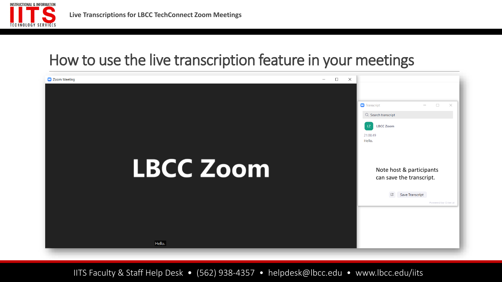

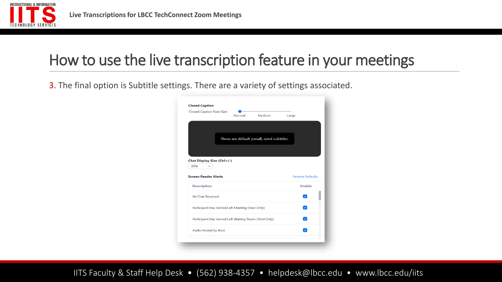

3. The final option is Subtitle settings. There are a variety of settings associated.